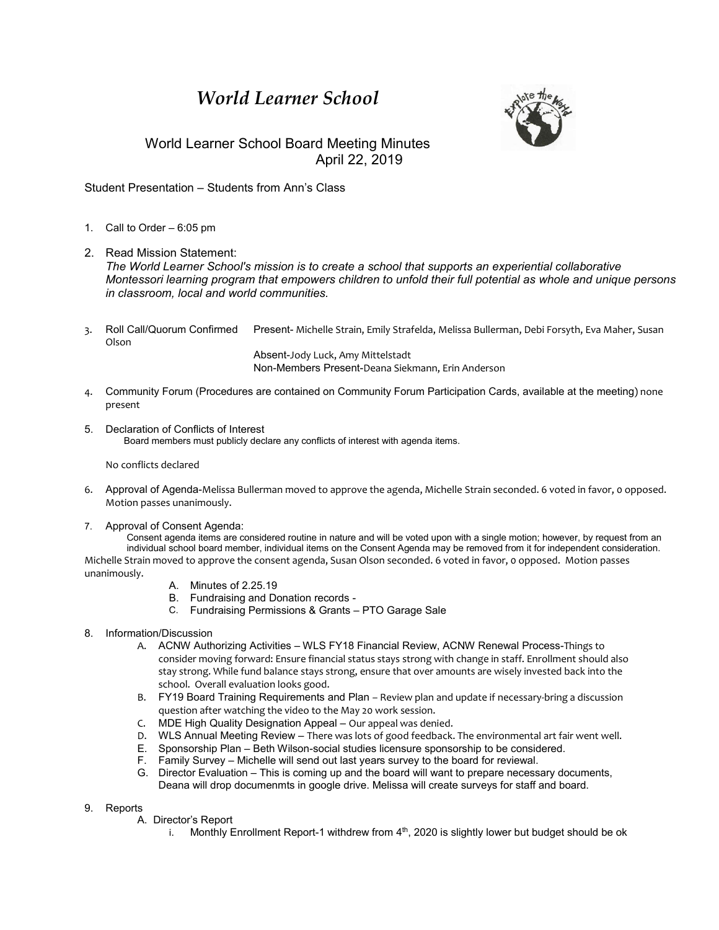## *World Learner School*



## World Learner School Board Meeting Minutes April 22, 2019

Student Presentation – Students from Ann's Class

- 1. Call to Order 6:05 pm
- 2. Read Mission Statement: *The World Learner School's mission is to create a school that supports an experiential collaborative Montessori learning program that empowers children to unfold their full potential as whole and unique persons in classroom, local and world communities.*
- 3. Roll Call/Quorum Confirmed Present- Michelle Strain, Emily Strafelda, Melissa Bullerman, Debi Forsyth, Eva Maher, Susan Olson

Absent-Jody Luck, Amy Mittelstadt Non-Members Present-Deana Siekmann, Erin Anderson

- 4. Community Forum (Procedures are contained on Community Forum Participation Cards, available at the meeting) none present
- 5. Declaration of Conflicts of Interest Board members must publicly declare any conflicts of interest with agenda items.

No conflicts declared

- 6. Approval of Agenda-Melissa Bullerman moved to approve the agenda, Michelle Strain seconded. 6 voted in favor, 0 opposed. Motion passes unanimously.
- 7. Approval of Consent Agenda:

Consent agenda items are considered routine in nature and will be voted upon with a single motion; however, by request from an individual school board member, individual items on the Consent Agenda may be removed from it for independent consideration. Michelle Strain moved to approve the consent agenda, Susan Olson seconded. 6 voted in favor, 0 opposed. Motion passes unanimously.

- A. Minutes of 2.25.19
- B. Fundraising and Donation records -
- C. Fundraising Permissions & Grants PTO Garage Sale
- 8. Information/Discussion
	- A. ACNW Authorizing Activities WLS FY18 Financial Review, ACNW Renewal Process-Things to consider moving forward: Ensure financial status stays strong with change in staff. Enrollment should also stay strong. While fund balance stays strong, ensure that over amounts are wisely invested back into the school. Overall evaluation looks good.
	- B. FY19 Board Training Requirements and Plan Review plan and update if necessary-bring a discussion question after watching the video to the May 20 work session.
	- C. MDE High Quality Designation Appeal Our appeal was denied.
	- D. WLS Annual Meeting Review There was lots of good feedback. The environmental art fair went well.
	- E. Sponsorship Plan Beth Wilson-social studies licensure sponsorship to be considered.
	- F. Family Survey Michelle will send out last years survey to the board for reviewal.
	- G. Director Evaluation This is coming up and the board will want to prepare necessary documents, Deana will drop documenmts in google drive. Melissa will create surveys for staff and board.
- 9. Reports
	- A. Director's Report
		- i. Monthly Enrollment Report-1 withdrew from  $4<sup>th</sup>$ , 2020 is slightly lower but budget should be ok